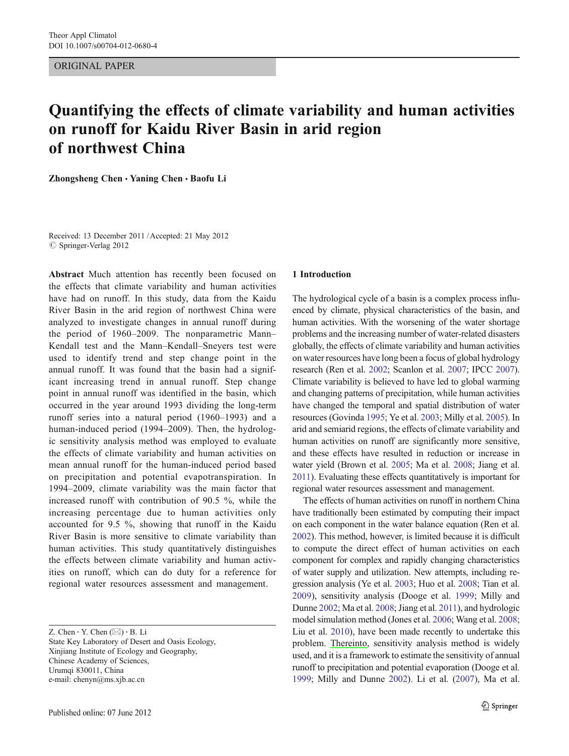ORIGINAL PAPER

# Quantifying the effects of climate variability and human activities on runoff for Kaidu River Basin in arid region of northwest China

Zhongsheng Chen · Yaning Chen · Baofu Li

Received: 13 December 2011 /Accepted: 21 May 2012  $\circ$  Springer-Verlag 2012

Abstract Much attention has recently been focused on the effects that climate variability and human activities have had on runoff. In this study, data from the Kaidu River Basin in the arid region of northwest China were analyzed to investigate changes in annual runoff during the period of 1960–2009. The nonparametric Mann– Kendall test and the Mann–Kendall–Sneyers test were used to identify trend and step change point in the annual runoff. It was found that the basin had a significant increasing trend in annual runoff. Step change point in annual runoff was identified in the basin, which occurred in the year around 1993 dividing the long-term runoff series into a natural period (1960–1993) and a human-induced period (1994–2009). Then, the hydrologic sensitivity analysis method was employed to evaluate the effects of climate variability and human activities on mean annual runoff for the human-induced period based on precipitation and potential evapotranspiration. In 1994–2009, climate variability was the main factor that increased runoff with contribution of 90.5 %, while the increasing percentage due to human activities only accounted for 9.5 %, showing that runoff in the Kaidu River Basin is more sensitive to climate variability than human activities. This study quantitatively distinguishes the effects between climate variability and human activities on runoff, which can do duty for a reference for regional water resources assessment and management.

Z. Chen  $\cdot$  Y. Chen  $(\boxtimes) \cdot$  B. Li State Key Laboratory of Desert and Oasis Ecology, Xinjiang Institute of Ecology and Geography, Chinese Academy of Sciences, Urumqi 830011, China e-mail: chenyn@ms.xjb.ac.cn

#### 1 Introduction

The hydrological cycle of a basin is a complex process influenced by climate, physical characteristics of the basin, and human activities. With the worsening of the water shortage problems and the increasing number of water-related disasters globally, the effects of climate variability and human activities on water resources have long been a focus of global hydrology research (Ren et al. [2002;](#page-8-0) Scanlon et al. [2007](#page-8-0); IPCC [2007\)](#page-8-0). Climate variability is believed to have led to global warming and changing patterns of precipitation, while human activities have changed the temporal and spatial distribution of water resources (Govinda [1995;](#page-8-0) Ye et al. [2003](#page-8-0); Milly et al. [2005](#page-8-0)). In arid and semiarid regions, the effects of climate variability and human activities on runoff are significantly more sensitive, and these effects have resulted in reduction or increase in water yield (Brown et al. [2005](#page-7-0); Ma et al. [2008;](#page-8-0) Jiang et al. [2011](#page-8-0)). Evaluating these effects quantitatively is important for regional water resources assessment and management.

The effects of human activities on runoff in northern China have traditionally been estimated by computing their impact on each component in the water balance equation (Ren et al. [2002\)](#page-8-0). This method, however, is limited because it is difficult to compute the direct effect of human activities on each component for complex and rapidly changing characteristics of water supply and utilization. New attempts, including regression analysis (Ye et al. [2003;](#page-8-0) Huo et al. [2008](#page-8-0); Tian et al. [2009](#page-8-0)), sensitivity analysis (Dooge et al. [1999;](#page-8-0) Milly and Dunne [2002;](#page-8-0) Ma et al. [2008;](#page-8-0) Jiang et al. [2011\)](#page-8-0), and hydrologic model simulation method (Jones et al. [2006;](#page-8-0) Wang et al. [2008;](#page-8-0) Liu et al. [2010\)](#page-8-0), have been made recently to undertake this problem. Thereinto, sensitivity analysis method is widely used, and it is a framework to estimate the sensitivity of annual runoff to precipitation and potential evaporation (Dooge et al. [1999;](#page-8-0) Milly and Dunne [2002\)](#page-8-0). Li et al. [\(2007\)](#page-8-0), Ma et al.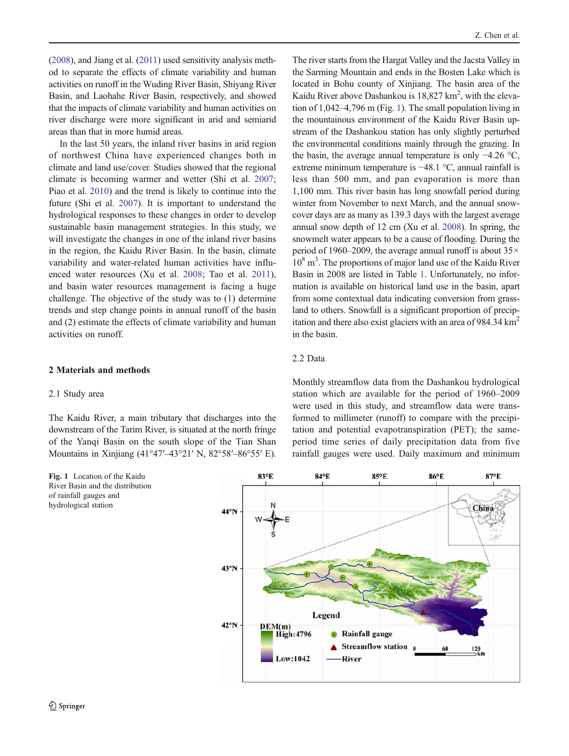[\(2008\)](#page-8-0), and Jiang et al. ([2011\)](#page-8-0) used sensitivity analysis method to separate the effects of climate variability and human activities on runoff in the Wuding River Basin, Shiyang River Basin, and Laohahe River Basin, respectively, and showed that the impacts of climate variability and human activities on river discharge were more significant in arid and semiarid areas than that in more humid areas.

In the last 50 years, the inland river basins in arid region of northwest China have experienced changes both in climate and land use/cover. Studies showed that the regional climate is becoming warmer and wetter (Shi et al. [2007](#page-8-0); Piao et al. [2010](#page-8-0)) and the trend is likely to continue into the future (Shi et al. [2007](#page-8-0)). It is important to understand the hydrological responses to these changes in order to develop sustainable basin management strategies. In this study, we will investigate the changes in one of the inland river basins in the region, the Kaidu River Basin. In the basin, climate variability and water-related human activities have influenced water resources (Xu et al. [2008;](#page-8-0) Tao et al. [2011](#page-8-0)), and basin water resources management is facing a huge challenge. The objective of the study was to (1) determine trends and step change points in annual runoff of the basin and (2) estimate the effects of climate variability and human activities on runoff.

## 2 Materials and methods

#### 2.1 Study area

The Kaidu River, a main tributary that discharges into the downstream of the Tarim River, is situated at the north fringe of the Yanqi Basin on the south slope of the Tian Shan Mountains in Xinjiang (41°47′–43°21′ N, 82°58′–86°55′ E).

Fig. 1 Location of the Kaidu River Basin and the distribution of rainfall gauges and hydrological station

The river starts from the Hargat Valley and the Jacsta Valley in the Sarming Mountain and ends in the Bosten Lake which is located in Bohu county of Xinjiang. The basin area of the Kaidu River above Dashankou is  $18,827 \text{ km}^2$ , with the elevation of 1,042–4,796 m (Fig. 1). The small population living in the mountainous environment of the Kaidu River Basin upstream of the Dashankou station has only slightly perturbed the environmental conditions mainly through the grazing. In the basin, the average annual temperature is only −4.26 °C, extreme minimum temperature is −48.1 °C, annual rainfall is less than 500 mm, and pan evaporation is more than 1,100 mm. This river basin has long snowfall period during winter from November to next March, and the annual snowcover days are as many as 139.3 days with the largest average annual snow depth of 12 cm (Xu et al. [2008\)](#page-8-0). In spring, the snowmelt water appears to be a cause of flooding. During the period of 1960–2009, the average annual runoff is about  $35 \times$ 108 m3 . The proportions of major land use of the Kaidu River Basin in 2008 are listed in Table [1.](#page-2-0) Unfortunately, no information is available on historical land use in the basin, apart from some contextual data indicating conversion from grassland to others. Snowfall is a significant proportion of precipitation and there also exist glaciers with an area of 984.34 km<sup>2</sup> in the basin.

## 2.2 Data

Monthly streamflow data from the Dashankou hydrological station which are available for the period of 1960–2009 were used in this study, and streamflow data were transformed to millimeter (runoff) to compare with the precipitation and potential evapotranspiration (PET); the sameperiod time series of daily precipitation data from five rainfall gauges were used. Daily maximum and minimum

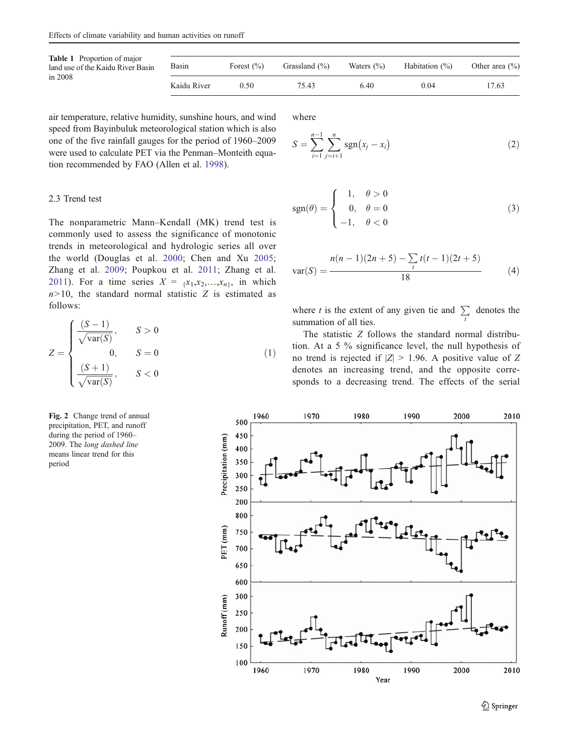<span id="page-2-0"></span>

| <b>Table 1</b> Proportion of major<br>land use of the Kaidu River Basin<br>in 2008 | Basin       | Forest $(\%)$ |       | Waters $(\% )$ | Habitation $(\%)$ | Other area $(\% )$ |
|------------------------------------------------------------------------------------|-------------|---------------|-------|----------------|-------------------|--------------------|
|                                                                                    | Kaidu River | 0.50          | 75.43 | 6.40           | 0.04              | 17.63              |

air temperature, relative humidity, sunshine hours, and wind speed from Bayinbuluk meteorological station which is also one of the five rainfall gauges for the period of 1960–2009 were used to calculate PET via the Penman–Monteith equation recommended by FAO (Allen et al. [1998](#page-7-0)).

## 2.3 Trend test

The nonparametric Mann–Kendall (MK) trend test is commonly used to assess the significance of monotonic trends in meteorological and hydrologic series all over the world (Douglas et al. [2000](#page-8-0); Chen and Xu [2005](#page-8-0); Zhang et al. [2009](#page-8-0); Poupkou et al. [2011;](#page-8-0) Zhang et al. [2011](#page-8-0)). For a time series  $X = \{x_1, x_2, \ldots, x_n\}$ , in which  $n>10$ , the standard normal statistic Z is estimated as follows:

$$
Z = \begin{cases} \frac{(S-1)}{\sqrt{\text{var}(S)}}, & S > 0\\ 0, & S = 0\\ \frac{(S+1)}{\sqrt{\text{var}(S)}}, & S < 0 \end{cases}
$$
(1)

Fig. 2 Change trend of annual precipitation, PET, and runoff during the period of 1960– 2009. The long dashed line means linear trend for this period

where

$$
S = \sum_{i=1}^{n-1} \sum_{j=i+1}^{n} \text{sgn}(x_j - x_i)
$$
 (2)

$$
sgn(\theta) = \begin{cases} 1, & \theta > 0 \\ 0, & \theta = 0 \\ -1, & \theta < 0 \end{cases}
$$
 (3)

$$
var(S) = \frac{n(n-1)(2n+5) - \sum_{t} t(t-1)(2t+5)}{18}
$$
 (4)

where t is the extent of any given tie and  $\Sigma$  denotes the t summation of all ties.

The statistic Z follows the standard normal distribution. At a 5 % significance level, the null hypothesis of no trend is rejected if  $|Z| > 1.96$ . A positive value of Z denotes an increasing trend, and the opposite corresponds to a decreasing trend. The effects of the serial

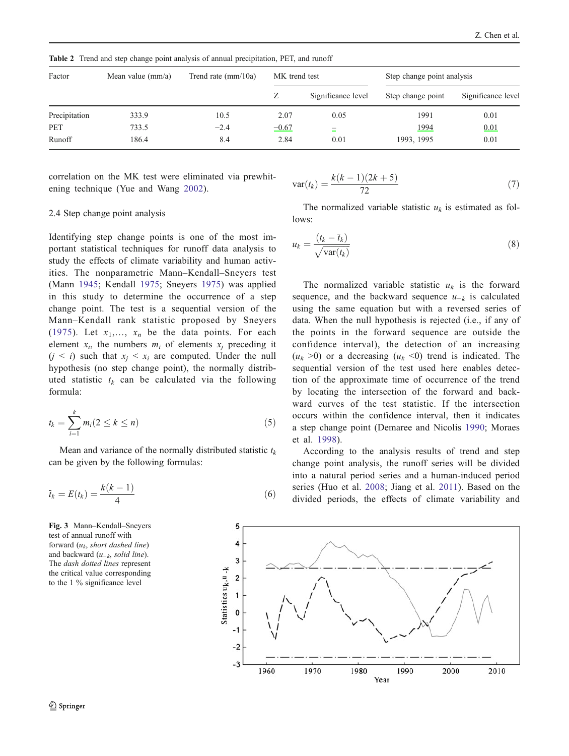| Factor        | Mean value $(mm/a)$ | Trend rate $\text{(mm/10a)}$ | MK trend test |                    | Step change point analysis |                    |  |
|---------------|---------------------|------------------------------|---------------|--------------------|----------------------------|--------------------|--|
|               |                     |                              | Ζ             | Significance level | Step change point          | Significance level |  |
| Precipitation | 333.9               | 10.5                         | 2.07          | 0.05               | 1991                       | 0.01               |  |
| PET           | 733.5               | $-2.4$                       | $-0.67$       | Ξ                  | 1994                       | 0.01               |  |
| Runoff        | 186.4               | 8.4                          | 2.84          | 0.01               | 1993, 1995                 | 0.01               |  |

<span id="page-3-0"></span>Table 2 Trend and step change point analysis of annual precipitation, PET, and runoff

correlation on the MK test were eliminated via prewhitening technique (Yue and Wang [2002\)](#page-8-0).

#### 2.4 Step change point analysis

Identifying step change points is one of the most important statistical techniques for runoff data analysis to study the effects of climate variability and human activities. The nonparametric Mann–Kendall–Sneyers test (Mann [1945;](#page-8-0) Kendall [1975](#page-8-0); Sneyers [1975](#page-8-0)) was applied in this study to determine the occurrence of a step change point. The test is a sequential version of the Mann–Kendall rank statistic proposed by Sneyers ([1975\)](#page-8-0). Let  $x_1, \ldots, x_n$  be the data points. For each element  $x_i$ , the numbers  $m_i$  of elements  $x_i$  preceding it  $(j \leq i)$  such that  $x_i \leq x_i$  are computed. Under the null hypothesis (no step change point), the normally distributed statistic  $t_k$  can be calculated via the following formula:

$$
t_k = \sum_{i=1}^k m_i (2 \le k \le n) \tag{5}
$$

Mean and variance of the normally distributed statistic  $t_k$ can be given by the following formulas:

$$
\overline{t}_k = E(t_k) = \frac{k(k-1)}{4} \tag{6}
$$

Fig. 3 Mann–Kendall–Sneyers test of annual runoff with forward  $(u_k, short dashed line)$ and backward  $(u_{-k}, solid line)$ . The dash dotted lines represent the critical value corresponding to the 1 % significance level

$$
\textcircled{\scriptsize\sum}\text{Springer}
$$

$$
var(t_k) = \frac{k(k-1)(2k+5)}{72}
$$
 (7)

The normalized variable statistic  $u_k$  is estimated as follows:

$$
u_k = \frac{(t_k - \overline{t}_k)}{\sqrt{\text{var}(t_k)}}\tag{8}
$$

The normalized variable statistic  $u_k$  is the forward sequence, and the backward sequence  $u_{-k}$  is calculated using the same equation but with a reversed series of data. When the null hypothesis is rejected (i.e., if any of the points in the forward sequence are outside the confidence interval), the detection of an increasing  $(u_k > 0)$  or a decreasing  $(u_k < 0)$  trend is indicated. The sequential version of the test used here enables detection of the approximate time of occurrence of the trend by locating the intersection of the forward and backward curves of the test statistic. If the intersection occurs within the confidence interval, then it indicates a step change point (Demaree and Nicolis [1990](#page-8-0); Moraes et al. [1998\)](#page-8-0).

According to the analysis results of trend and step change point analysis, the runoff series will be divided into a natural period series and a human-induced period series (Huo et al. [2008;](#page-8-0) Jiang et al. [2011\)](#page-8-0). Based on the divided periods, the effects of climate variability and

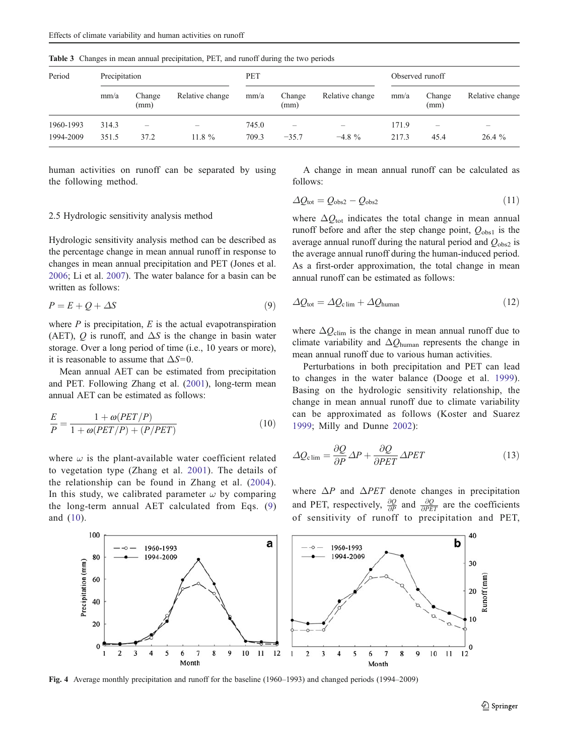| Period    | Precipitation |                          |                 | PET   |                          |                 | Observed runoff |                |                 |
|-----------|---------------|--------------------------|-----------------|-------|--------------------------|-----------------|-----------------|----------------|-----------------|
|           | mm/a          | Change<br>(mm)           | Relative change | mm/a  | Change<br>(mm)           | Relative change | mm/a            | Change<br>(mm) | Relative change |
| 1960-1993 | 314.3         | $\overline{\phantom{m}}$ |                 | 745.0 | $\overline{\phantom{m}}$ |                 | 171.9           | -              | $-$             |
| 1994-2009 | 351.5         | 37.2                     | 11.8 $%$        | 709.3 | $-35.7$                  | $-4.8 \%$       | 217.3           | 45.4           | $26.4\%$        |

<span id="page-4-0"></span>Table 3 Changes in mean annual precipitation, PET, and runoff during the two periods

human activities on runoff can be separated by using the following method.

#### 2.5 Hydrologic sensitivity analysis method

Hydrologic sensitivity analysis method can be described as the percentage change in mean annual runoff in response to changes in mean annual precipitation and PET (Jones et al. [2006;](#page-8-0) Li et al. [2007](#page-8-0)). The water balance for a basin can be written as follows:

$$
P = E + Q + \Delta S \tag{9}
$$

where  $P$  is precipitation,  $E$  is the actual evapotranspiration (AET),  $Q$  is runoff, and  $\Delta S$  is the change in basin water storage. Over a long period of time (i.e., 10 years or more), it is reasonable to assume that  $\Delta S=0$ .

Mean annual AET can be estimated from precipitation and PET. Following Zhang et al. ([2001\)](#page-8-0), long-term mean annual AET can be estimated as follows:

$$
\frac{E}{P} = \frac{1 + \omega(PET/P)}{1 + \omega(PET/P) + (P/PET)}\tag{10}
$$

where  $\omega$  is the plant-available water coefficient related to vegetation type (Zhang et al. [2001](#page-8-0)). The details of the relationship can be found in Zhang et al. ([2004](#page-8-0)). In this study, we calibrated parameter  $\omega$  by comparing the long-term annual AET calculated from Eqs. (9) and (10).

A change in mean annual runoff can be calculated as follows:

$$
\Delta Q_{\text{tot}} = Q_{\text{obs2}} - Q_{\text{obs2}} \tag{11}
$$

where  $\Delta Q_{\text{tot}}$  indicates the total change in mean annual runoff before and after the step change point,  $Q_{obs1}$  is the average annual runoff during the natural period and  $Q_{obs2}$  is the average annual runoff during the human-induced period. As a first-order approximation, the total change in mean annual runoff can be estimated as follows:

$$
\Delta Q_{\text{tot}} = \Delta Q_{\text{clim}} + \Delta Q_{\text{human}} \tag{12}
$$

where  $\Delta Q_{\text{clim}}$  is the change in mean annual runoff due to climate variability and  $\Delta Q_{\text{human}}$  represents the change in mean annual runoff due to various human activities.

Perturbations in both precipitation and PET can lead to changes in the water balance (Dooge et al. [1999](#page-8-0)). Basing on the hydrologic sensitivity relationship, the change in mean annual runoff due to climate variability can be approximated as follows (Koster and Suarez [1999](#page-8-0); Milly and Dunne [2002\)](#page-8-0):

$$
\Delta Q_{\text{clim}} = \frac{\partial Q}{\partial P} \Delta P + \frac{\partial Q}{\partial PET} \Delta PET \tag{13}
$$

where  $\Delta P$  and  $\Delta P E T$  denote changes in precipitation and PET, respectively,  $\frac{\partial Q}{\partial P}$  and  $\frac{\partial Q}{\partial P E T}$  are the coefficients of sensitivity of runoff to precipitation and PET,



Fig. 4 Average monthly precipitation and runoff for the baseline (1960–1993) and changed periods (1994–2009)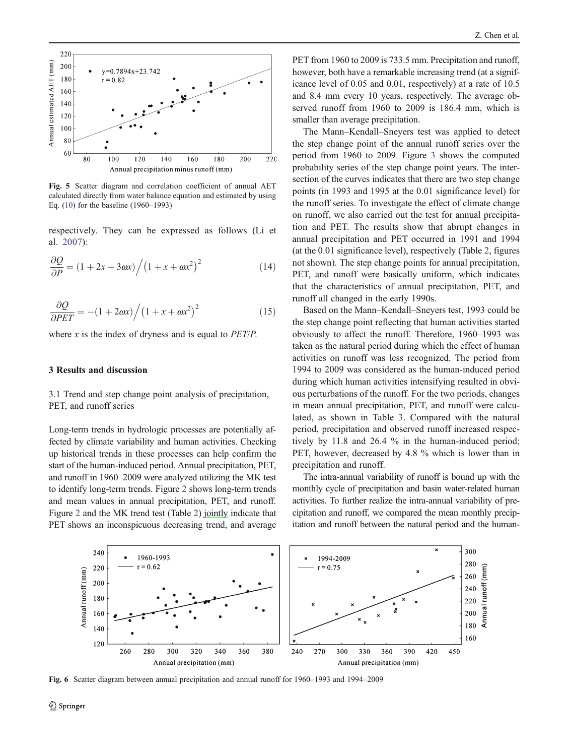<span id="page-5-0"></span>

Fig. 5 Scatter diagram and correlation coefficient of annual AET calculated directly from water balance equation and estimated by using Eq. ([10](#page-4-0)) for the baseline (1960–1993)

respectively. They can be expressed as follows (Li et al. [2007](#page-8-0)):

$$
\frac{\partial Q}{\partial P} = (1 + 2x + 3\omega x) / (1 + x + \omega x^2)^2 \tag{14}
$$

$$
\frac{\partial Q}{\partial PET} = -(1 + 2\omega x) / (1 + x + \omega x^2)^2 \tag{15}
$$

where x is the index of dryness and is equal to  $PET/P$ .

### 3 Results and discussion

3.1 Trend and step change point analysis of precipitation, PET, and runoff series

Long-term trends in hydrologic processes are potentially affected by climate variability and human activities. Checking up historical trends in these processes can help confirm the start of the human-induced period. Annual precipitation, PET, and runoff in 1960–2009 were analyzed utilizing the MK test to identify long-term trends. Figure [2](#page-2-0) shows long-term trends and mean values in annual precipitation, PET, and runoff. Figure [2](#page-2-0) and the MK trend test (Table [2\)](#page-3-0) jointly indicate that PET shows an inconspicuous decreasing trend, and average

PET from 1960 to 2009 is 733.5 mm. Precipitation and runoff, however, both have a remarkable increasing trend (at a significance level of 0.05 and 0.01, respectively) at a rate of 10.5 and 8.4 mm every 10 years, respectively. The average observed runoff from 1960 to 2009 is 186.4 mm, which is smaller than average precipitation.

The Mann–Kendall–Sneyers test was applied to detect the step change point of the annual runoff series over the period from 1960 to 2009. Figure [3](#page-3-0) shows the computed probability series of the step change point years. The intersection of the curves indicates that there are two step change points (in 1993 and 1995 at the 0.01 significance level) for the runoff series. To investigate the effect of climate change on runoff, we also carried out the test for annual precipitation and PET. The results show that abrupt changes in annual precipitation and PET occurred in 1991 and 1994 (at the 0.01 significance level), respectively (Table [2](#page-3-0), figures not shown). The step change points for annual precipitation, PET, and runoff were basically uniform, which indicates that the characteristics of annual precipitation, PET, and runoff all changed in the early 1990s.

Based on the Mann–Kendall–Sneyers test, 1993 could be the step change point reflecting that human activities started obviously to affect the runoff. Therefore, 1960–1993 was taken as the natural period during which the effect of human activities on runoff was less recognized. The period from 1994 to 2009 was considered as the human-induced period during which human activities intensifying resulted in obvious perturbations of the runoff. For the two periods, changes in mean annual precipitation, PET, and runoff were calculated, as shown in Table [3](#page-4-0). Compared with the natural period, precipitation and observed runoff increased respectively by 11.8 and 26.4 % in the human-induced period; PET, however, decreased by 4.8 % which is lower than in precipitation and runoff.

The intra-annual variability of runoff is bound up with the monthly cycle of precipitation and basin water-related human activities. To further realize the intra-annual variability of precipitation and runoff, we compared the mean monthly precipitation and runoff between the natural period and the human-



Fig. 6 Scatter diagram between annual precipitation and annual runoff for 1960–1993 and 1994–2009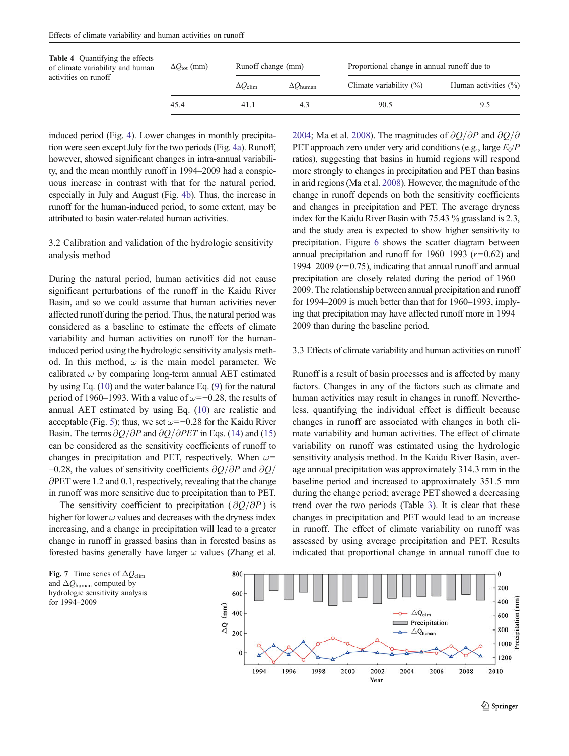<span id="page-6-0"></span>Table 4 Quantifying the effects of climate variability and human activities on runoff  $\Delta Q_{\text{tot}}$  (mm) Runoff change (mm) Proportional change in annual runoff due to  $\Delta Q_{\text{clim}}$   $\Delta Q_{\text{human}}$  Climate variability (%) Human activities (%) 45.4 **41.1** 4.3 **90.5** 9.5

induced period (Fig. [4\)](#page-4-0). Lower changes in monthly precipitation were seen except July for the two periods (Fig. [4a\)](#page-4-0). Runoff, however, showed significant changes in intra-annual variability, and the mean monthly runoff in 1994–2009 had a conspicuous increase in contrast with that for the natural period, especially in July and August (Fig. [4b\)](#page-4-0). Thus, the increase in runoff for the human-induced period, to some extent, may be attributed to basin water-related human activities.

3.2 Calibration and validation of the hydrologic sensitivity analysis method

During the natural period, human activities did not cause significant perturbations of the runoff in the Kaidu River Basin, and so we could assume that human activities never affected runoff during the period. Thus, the natural period was considered as a baseline to estimate the effects of climate variability and human activities on runoff for the humaninduced period using the hydrologic sensitivity analysis method. In this method,  $\omega$  is the main model parameter. We calibrated  $\omega$  by comparing long-term annual AET estimated by using Eq. [\(10\)](#page-4-0) and the water balance Eq. ([9](#page-4-0)) for the natural period of 1960–1993. With a value of  $\omega$ =−0.28, the results of annual AET estimated by using Eq. [\(10](#page-4-0)) are realistic and acceptable (Fig. [5\)](#page-5-0); thus, we set  $ω=-0.28$  for the Kaidu River Basin. The terms  $\partial Q/\partial P$  and  $\partial Q/\partial PET$  in Eqs. ([14](#page-5-0)) and [\(15\)](#page-5-0) can be considered as the sensitivity coefficients of runoff to changes in precipitation and PET, respectively. When  $\omega$ =  $-0.28$ , the values of sensitivity coefficients  $\partial Q/\partial P$  and  $\partial Q/\partial P$  $\partial$ PET were 1.2 and 0.1, respectively, revealing that the change in runoff was more sensitive due to precipitation than to PET.

The sensitivity coefficient to precipitation ( $\partial Q/\partial P$ ) is higher for lower  $\omega$  values and decreases with the dryness index increasing, and a change in precipitation will lead to a greater change in runoff in grassed basins than in forested basins as forested basins generally have larger  $\omega$  values (Zhang et al.

Fig. 7 Time series of  $\Delta Q_{\text{clim}}$ and  $\Delta Q_{\text{human}}$  computed by hydrologic sensitivity analysis for 1994–2009

[2004;](#page-8-0) Ma et al. [2008](#page-8-0)). The magnitudes of  $\partial Q/\partial P$  and  $\partial Q/\partial P$ PET approach zero under very arid conditions (e.g., large  $E_0/P$ ratios), suggesting that basins in humid regions will respond more strongly to changes in precipitation and PET than basins in arid regions (Ma et al. [2008\)](#page-8-0). However, the magnitude of the change in runoff depends on both the sensitivity coefficients and changes in precipitation and PET. The average dryness index for the Kaidu River Basin with 75.43 % grassland is 2.3, and the study area is expected to show higher sensitivity to precipitation. Figure [6](#page-5-0) shows the scatter diagram between annual precipitation and runoff for 1960–1993  $(r=0.62)$  and 1994–2009 ( $r=0.75$ ), indicating that annual runoff and annual precipitation are closely related during the period of 1960– 2009. The relationship between annual precipitation and runoff for 1994–2009 is much better than that for 1960–1993, implying that precipitation may have affected runoff more in 1994– 2009 than during the baseline period.

## 3.3 Effects of climate variability and human activities on runoff

Runoff is a result of basin processes and is affected by many factors. Changes in any of the factors such as climate and human activities may result in changes in runoff. Nevertheless, quantifying the individual effect is difficult because changes in runoff are associated with changes in both climate variability and human activities. The effect of climate variability on runoff was estimated using the hydrologic sensitivity analysis method. In the Kaidu River Basin, average annual precipitation was approximately 314.3 mm in the baseline period and increased to approximately 351.5 mm during the change period; average PET showed a decreasing trend over the two periods (Table [3\)](#page-4-0). It is clear that these changes in precipitation and PET would lead to an increase in runoff. The effect of climate variability on runoff was assessed by using average precipitation and PET. Results indicated that proportional change in annual runoff due to

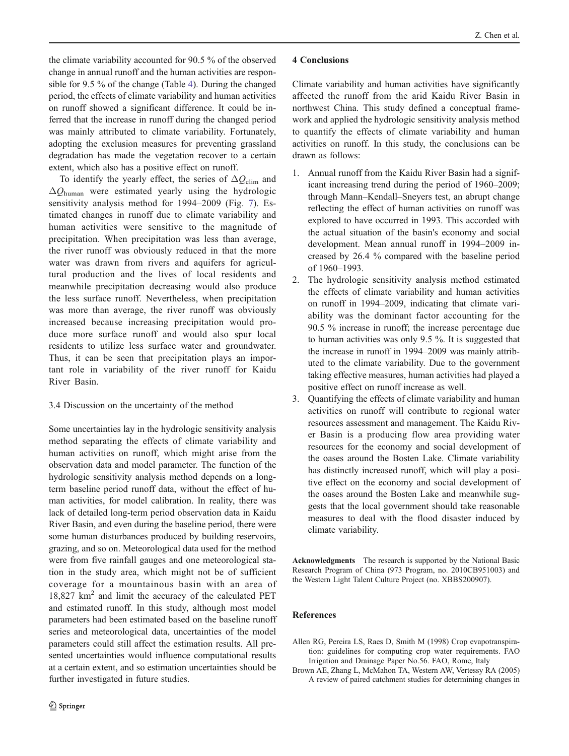<span id="page-7-0"></span>the climate variability accounted for 90.5 % of the observed change in annual runoff and the human activities are responsible for 9.5 % of the change (Table [4\)](#page-6-0). During the changed period, the effects of climate variability and human activities on runoff showed a significant difference. It could be inferred that the increase in runoff during the changed period was mainly attributed to climate variability. Fortunately, adopting the exclusion measures for preventing grassland degradation has made the vegetation recover to a certain extent, which also has a positive effect on runoff.

To identify the yearly effect, the series of  $\Delta Q_{\text{clim}}$  and  $\Delta Q_{\text{human}}$  were estimated yearly using the hydrologic sensitivity analysis method for 1994–2009 (Fig. [7](#page-6-0)). Estimated changes in runoff due to climate variability and human activities were sensitive to the magnitude of precipitation. When precipitation was less than average, the river runoff was obviously reduced in that the more water was drawn from rivers and aquifers for agricultural production and the lives of local residents and meanwhile precipitation decreasing would also produce the less surface runoff. Nevertheless, when precipitation was more than average, the river runoff was obviously increased because increasing precipitation would produce more surface runoff and would also spur local residents to utilize less surface water and groundwater. Thus, it can be seen that precipitation plays an important role in variability of the river runoff for Kaidu River Basin.

# 3.4 Discussion on the uncertainty of the method

Some uncertainties lay in the hydrologic sensitivity analysis method separating the effects of climate variability and human activities on runoff, which might arise from the observation data and model parameter. The function of the hydrologic sensitivity analysis method depends on a longterm baseline period runoff data, without the effect of human activities, for model calibration. In reality, there was lack of detailed long-term period observation data in Kaidu River Basin, and even during the baseline period, there were some human disturbances produced by building reservoirs, grazing, and so on. Meteorological data used for the method were from five rainfall gauges and one meteorological station in the study area, which might not be of sufficient coverage for a mountainous basin with an area of  $18,827$  km<sup>2</sup> and limit the accuracy of the calculated PET and estimated runoff. In this study, although most model parameters had been estimated based on the baseline runoff series and meteorological data, uncertainties of the model parameters could still affect the estimation results. All presented uncertainties would influence computational results at a certain extent, and so estimation uncertainties should be further investigated in future studies.

# 4 Conclusions

Climate variability and human activities have significantly affected the runoff from the arid Kaidu River Basin in northwest China. This study defined a conceptual framework and applied the hydrologic sensitivity analysis method to quantify the effects of climate variability and human activities on runoff. In this study, the conclusions can be drawn as follows:

- 1. Annual runoff from the Kaidu River Basin had a significant increasing trend during the period of 1960–2009; through Mann–Kendall–Sneyers test, an abrupt change reflecting the effect of human activities on runoff was explored to have occurred in 1993. This accorded with the actual situation of the basin's economy and social development. Mean annual runoff in 1994–2009 increased by 26.4 % compared with the baseline period of 1960–1993.
- 2. The hydrologic sensitivity analysis method estimated the effects of climate variability and human activities on runoff in 1994–2009, indicating that climate variability was the dominant factor accounting for the 90.5 % increase in runoff; the increase percentage due to human activities was only 9.5 %. It is suggested that the increase in runoff in 1994–2009 was mainly attributed to the climate variability. Due to the government taking effective measures, human activities had played a positive effect on runoff increase as well.
- 3. Quantifying the effects of climate variability and human activities on runoff will contribute to regional water resources assessment and management. The Kaidu River Basin is a producing flow area providing water resources for the economy and social development of the oases around the Bosten Lake. Climate variability has distinctly increased runoff, which will play a positive effect on the economy and social development of the oases around the Bosten Lake and meanwhile suggests that the local government should take reasonable measures to deal with the flood disaster induced by climate variability.

Acknowledgments The research is supported by the National Basic Research Program of China (973 Program, no. 2010CB951003) and the Western Light Talent Culture Project (no. XBBS200907).

# References

- Allen RG, Pereira LS, Raes D, Smith M (1998) Crop evapotranspiration: guidelines for computing crop water requirements. FAO Irrigation and Drainage Paper No.56. FAO, Rome, Italy
- Brown AE, Zhang L, McMahon TA, Western AW, Vertessy RA (2005) A review of paired catchment studies for determining changes in